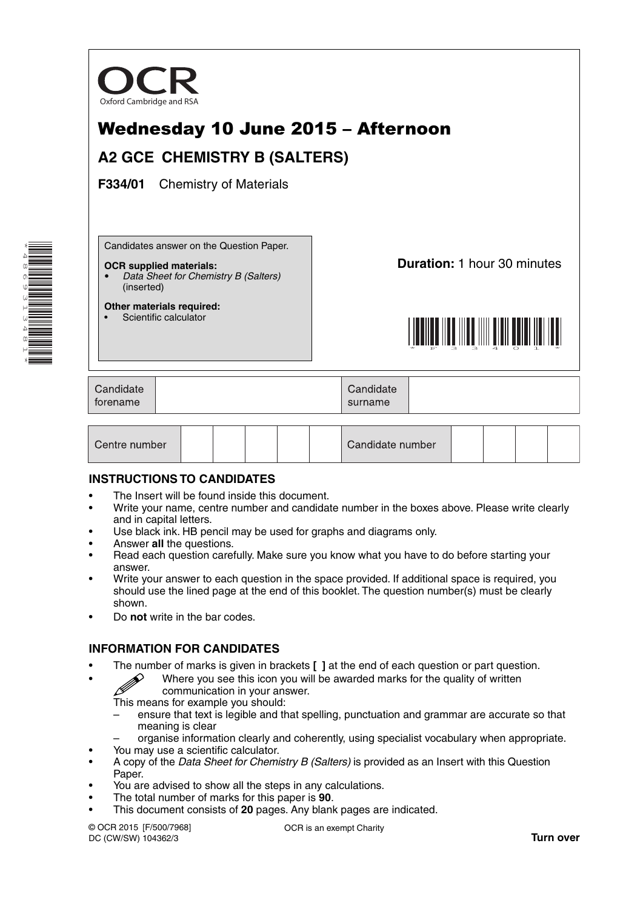

# Wednesday 10 June 2015 – Afternoon

## **A2 GCE CHEMISTRY B (SALTERS)**

**F334/01** Chemistry of Materials

Candidates answer on the Question Paper.

#### **OCR supplied materials:**

- *Data Sheet for Chemistry B (Salters)* (inserted)
- **Other materials required:** Scientific calculator

**Duration:** 1 hour 30 minutes



| Candidate<br>forename | Candidate<br>surname |  |
|-----------------------|----------------------|--|
|                       |                      |  |

| Centre number |  |  |  |  |  | Candidate number |  |  |  |  |  |
|---------------|--|--|--|--|--|------------------|--|--|--|--|--|
|---------------|--|--|--|--|--|------------------|--|--|--|--|--|

### **INSTRUCTIONS TO CANDIDATES**

- The Insert will be found inside this document.
- Write your name, centre number and candidate number in the boxes above. Please write clearly and in capital letters.
- Use black ink. HB pencil may be used for graphs and diagrams only.
- Answer **all** the questions.
- Read each question carefully. Make sure you know what you have to do before starting your answer.
- Write your answer to each question in the space provided. If additional space is required, you should use the lined page at the end of this booklet. The question number(s) must be clearly shown.
- Do **not** write in the bar codes.

### **INFORMATION FOR CANDIDATES**

- The number of marks is given in brackets **[ ]** at the end of each question or part question.
	- Where you see this icon you will be awarded marks for the quality of written communication in your answer. communication in your answer.
	- This means for example you should:
		- ensure that text is legible and that spelling, punctuation and grammar are accurate so that meaning is clear
	- organise information clearly and coherently, using specialist vocabulary when appropriate.
- You may use a scientific calculator.
- A copy of the *Data Sheet for Chemistry B (Salters)* is provided as an Insert with this Question Paper.
- You are advised to show all the steps in any calculations.
- The total number of marks for this paper is **90**.
- This document consists of **20** pages. Any blank pages are indicated.

© OCR 2015 [F/500/7968] DC (CW/SW) 104362/3

OCR is an exempt Charity

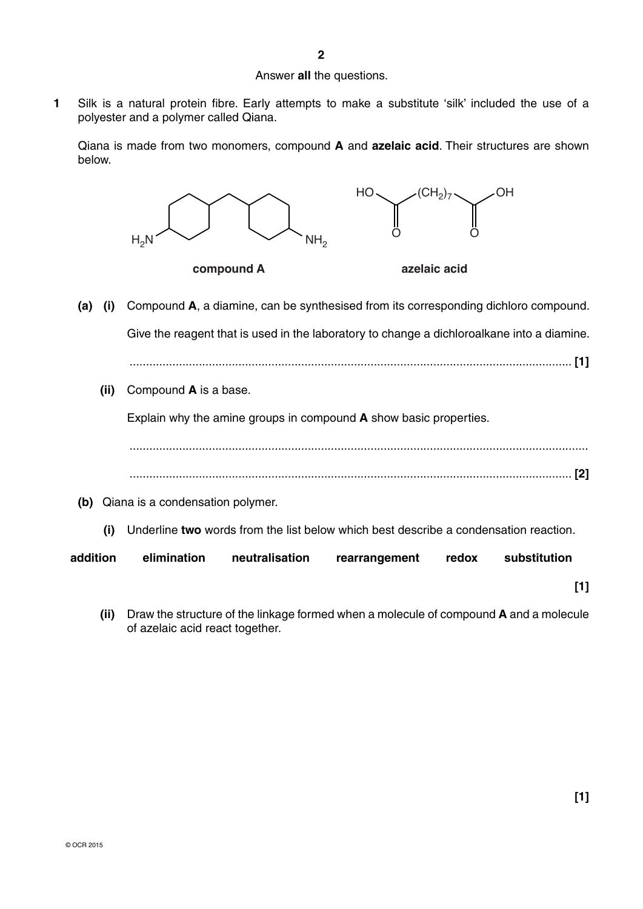#### Answer **all** the questions.

**1** Silk is a natural protein fibre. Early attempts to make a substitute 'silk' included the use of a polyester and a polymer called Qiana.

Qiana is made from two monomers, compound **A** and **azelaic acid**. Their structures are shown below.



 **(a) (i)** Compound **A**, a diamine, can be synthesised from its corresponding dichloro compound. Give the reagent that is used in the laboratory to change a dichloroalkane into a diamine.

...................................................................................................................................... **[1]**

 **(ii)** Compound **A** is a base.

Explain why the amine groups in compound **A** show basic properties.

...........................................................................................................................................

...................................................................................................................................... **[2]**

- **(b)** Qiana is a condensation polymer.
	- **(i)** Underline **two** words from the list below which best describe a condensation reaction.

| addition | elimination | neutralisation | rearrangement | redox | substitution |
|----------|-------------|----------------|---------------|-------|--------------|
|          |             |                |               |       |              |

 **(ii)** Draw the structure of the linkage formed when a molecule of compound **A** and a molecule of azelaic acid react together.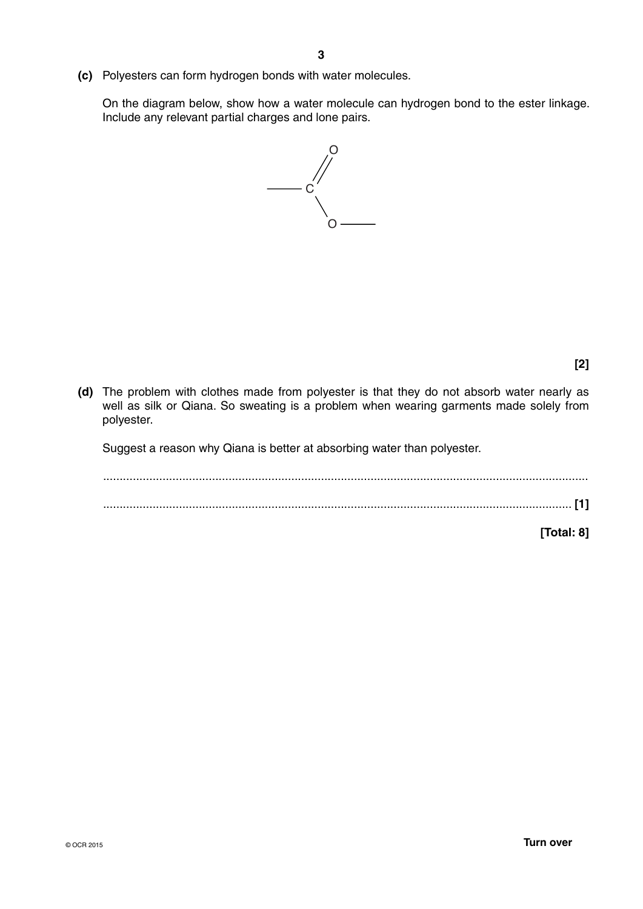**(c)** Polyesters can form hydrogen bonds with water molecules.

On the diagram below, show how a water molecule can hydrogen bond to the ester linkage. Include any relevant partial charges and lone pairs.



 **(d)** The problem with clothes made from polyester is that they do not absorb water nearly as well as silk or Qiana. So sweating is a problem when wearing garments made solely from

Suggest a reason why Qiana is better at absorbing water than polyester.

 ................................................................................................................................................... .............................................................................................................................................. **[1]**

**[Total: 8]**

polyester.

**[2]**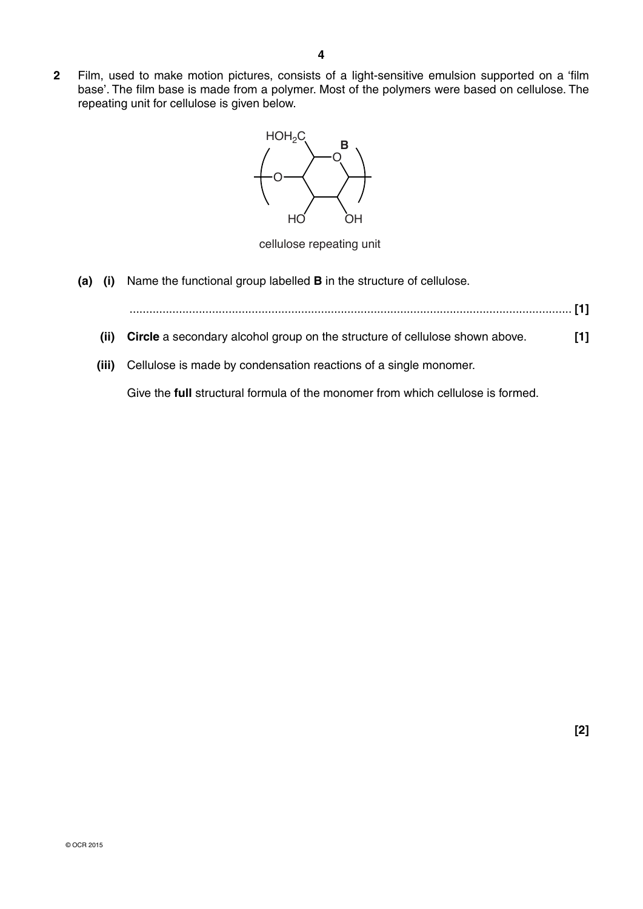

cellulose repeating unit

 **(a) (i)** Name the functional group labelled **B** in the structure of cellulose.

...................................................................................................................................... **[1]**

- **(ii) Circle** a secondary alcohol group on the structure of cellulose shown above. **[1]**
- **(iii)** Cellulose is made by condensation reactions of a single monomer.

Give the **full** structural formula of the monomer from which cellulose is formed.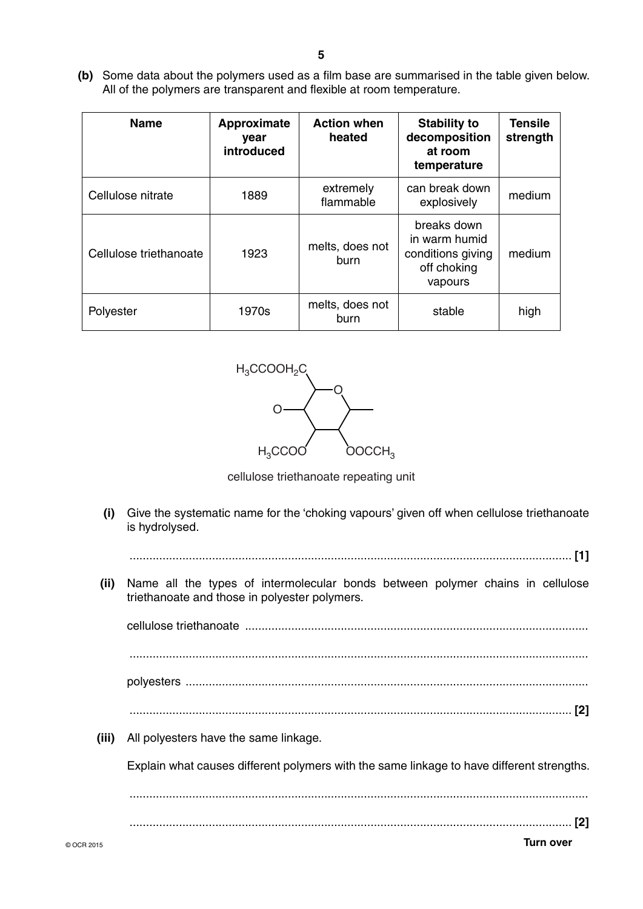**(b)** Some data about the polymers used as a film base are summarised in the table given below. All of the polymers are transparent and flexible at room temperature.

| <b>Name</b>            | Approximate<br>year<br>introduced | <b>Action when</b><br>heated | <b>Stability to</b><br>decomposition<br>at room<br>temperature              | <b>Tensile</b><br>strength |
|------------------------|-----------------------------------|------------------------------|-----------------------------------------------------------------------------|----------------------------|
| Cellulose nitrate      | 1889                              | extremely<br>flammable       | can break down<br>explosively                                               | medium                     |
| Cellulose triethanoate | 1923                              | melts, does not<br>burn      | breaks down<br>in warm humid<br>conditions giving<br>off choking<br>vapours | medium                     |
| Polyester              | 1970s                             | melts, does not<br>burn      | stable                                                                      | high                       |



cellulose triethanoate repeating unit

 **(i)** Give the systematic name for the 'choking vapours' given off when cellulose triethanoate is hydrolysed.

...................................................................................................................................... **[1]**

 **(ii)** Name all the types of intermolecular bonds between polymer chains in cellulose triethanoate and those in polyester polymers.

cellulose triethanoate ........................................................................................................ ........................................................................................................................................... polyesters .......................................................................................................................... ...................................................................................................................................... **[2]**

 **(iii)** All polyesters have the same linkage.

Explain what causes different polymers with the same linkage to have different strengths.

© OCR 2015 **Turn over** ........................................................................................................................................... ...................................................................................................................................... **[2]**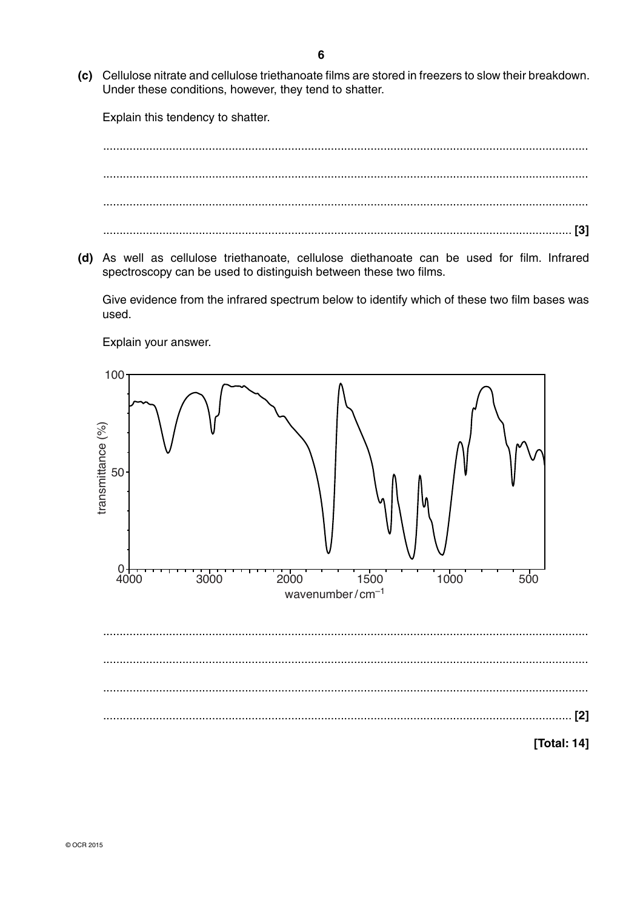(c) Cellulose nitrate and cellulose triethanoate films are stored in freezers to slow their breakdown. Under these conditions, however, they tend to shatter.

Explain this tendency to shatter.



(d) As well as cellulose triethanoate, cellulose diethanoate can be used for film. Infrared spectroscopy can be used to distinguish between these two films.

Give evidence from the infrared spectrum below to identify which of these two film bases was used.

Explain your answer.

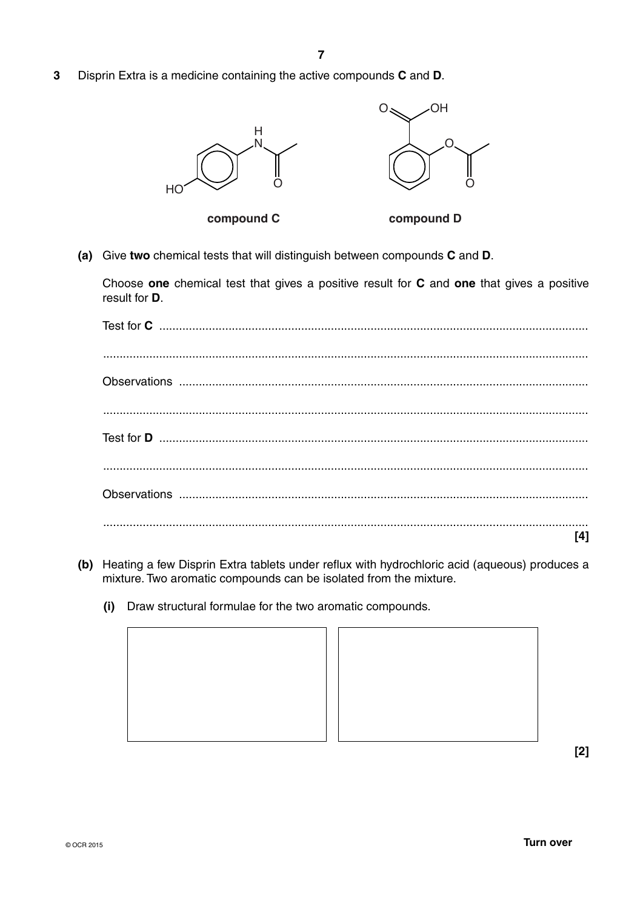$\overline{3}$ Disprin Extra is a medicine containing the active compounds C and D.



(a) Give two chemical tests that will distinguish between compounds C and D.

Choose one chemical test that gives a positive result for C and one that gives a positive result for D.

| [4] |
|-----|

- (b) Heating a few Disprin Extra tablets under reflux with hydrochloric acid (aqueous) produces a mixture. Two aromatic compounds can be isolated from the mixture.
	- (i) Draw structural formulae for the two aromatic compounds.



 $[2]$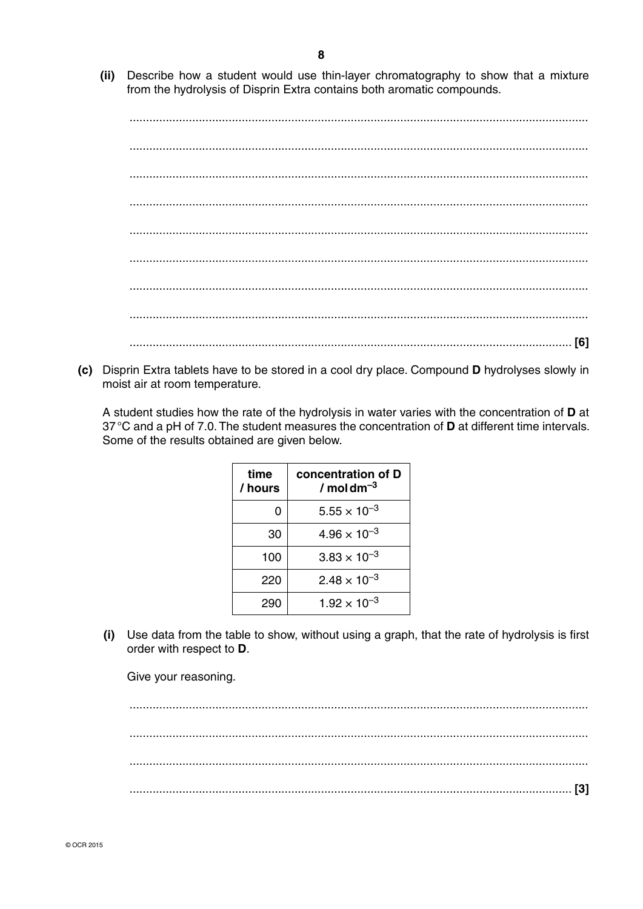$(ii)$ Describe how a student would use thin-layer chromatography to show that a mixture from the hydrolysis of Disprin Extra contains both aromatic compounds.

(c) Disprin Extra tablets have to be stored in a cool dry place. Compound D hydrolyses slowly in moist air at room temperature.

A student studies how the rate of the hydrolysis in water varies with the concentration of D at 37 °C and a pH of 7.0. The student measures the concentration of **D** at different time intervals. Some of the results obtained are given below.

| time<br>/ hours | concentration of D<br>$/$ moldm <sup>-3</sup> |
|-----------------|-----------------------------------------------|
| Ω               | $5.55 \times 10^{-3}$                         |
| 30              | $4.96 \times 10^{-3}$                         |
| 100             | $3.83 \times 10^{-3}$                         |
| 220             | $2.48 \times 10^{-3}$                         |
| 290             | $1.92 \times 10^{-3}$                         |

(i) Use data from the table to show, without using a graph, that the rate of hydrolysis is first order with respect to D.

Give your reasoning.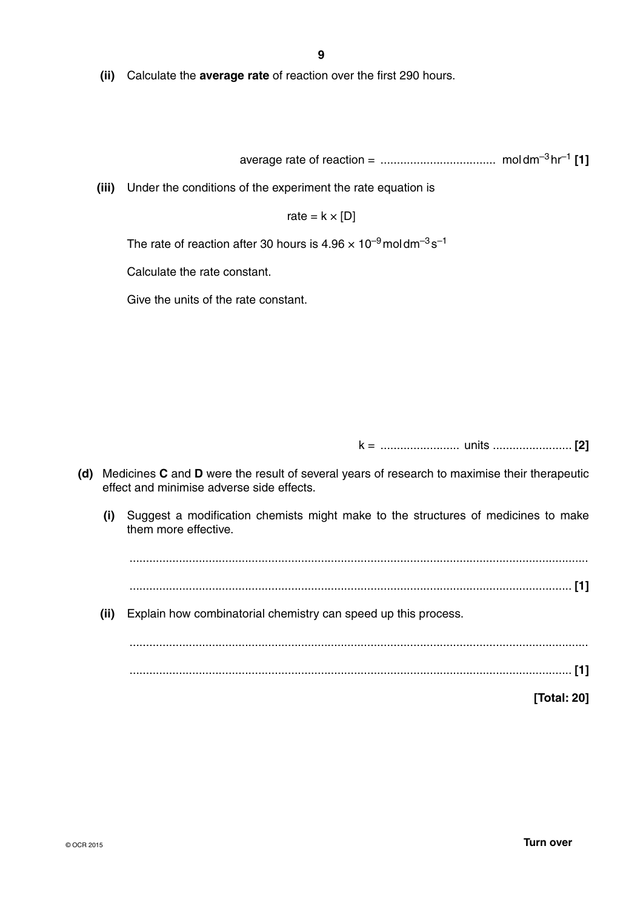**9**

 **(ii)** Calculate the **average rate** of reaction over the first 290 hours.

average rate of reaction = ................................... mol dm–3 hr–1 **[1]**

 **(iii)** Under the conditions of the experiment the rate equation is

rate =  $k \times [D]$ 

The rate of reaction after 30 hours is  $4.96 \times 10^{-9}$  moldm<sup>-3</sup> s<sup>-1</sup>

Calculate the rate constant.

Give the units of the rate constant.

k = ........................ units ........................ **[2]**

- **(d)** Medicines **C** and **D** were the result of several years of research to maximise their therapeutic effect and minimise adverse side effects.
	- **(i)** Suggest a modification chemists might make to the structures of medicines to make them more effective.

 ........................................................................................................................................... ...................................................................................................................................... **[1] (ii)** Explain how combinatorial chemistry can speed up this process. ........................................................................................................................................... ...................................................................................................................................... **[1] [Total: 20]**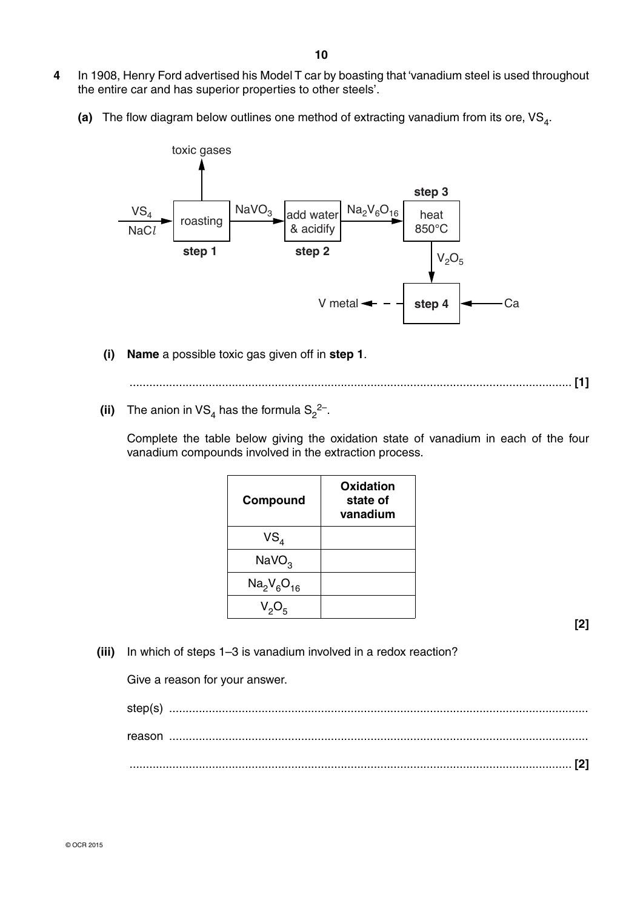- **4** In 1908, Henry Ford advertised his Model T car by boasting that 'vanadium steel is used throughout the entire car and has superior properties to other steels'.
	- **(a)** The flow diagram below outlines one method of extracting vanadium from its ore, VS<sub>4</sub>.



 **(i) Name** a possible toxic gas given off in **step 1**.

...................................................................................................................................... **[1]**

**(ii)** The anion in  $VS_4$  has the formula  $S_2^2$ .

Complete the table below giving the oxidation state of vanadium in each of the four vanadium compounds involved in the extraction process.

| Compound          | Oxidation<br>state of<br>vanadium |
|-------------------|-----------------------------------|
| VS <sub>4</sub>   |                                   |
| NaVO <sub>3</sub> |                                   |
| $Na_2V_6O_{16}$   |                                   |
| $V_2O_5$          |                                   |

**[2]**

 **(iii)** In which of steps 1–3 is vanadium involved in a redox reaction?

Give a reason for your answer.

step(s) ............................................................................................................................... reason ............................................................................................................................... ...................................................................................................................................... **[2]**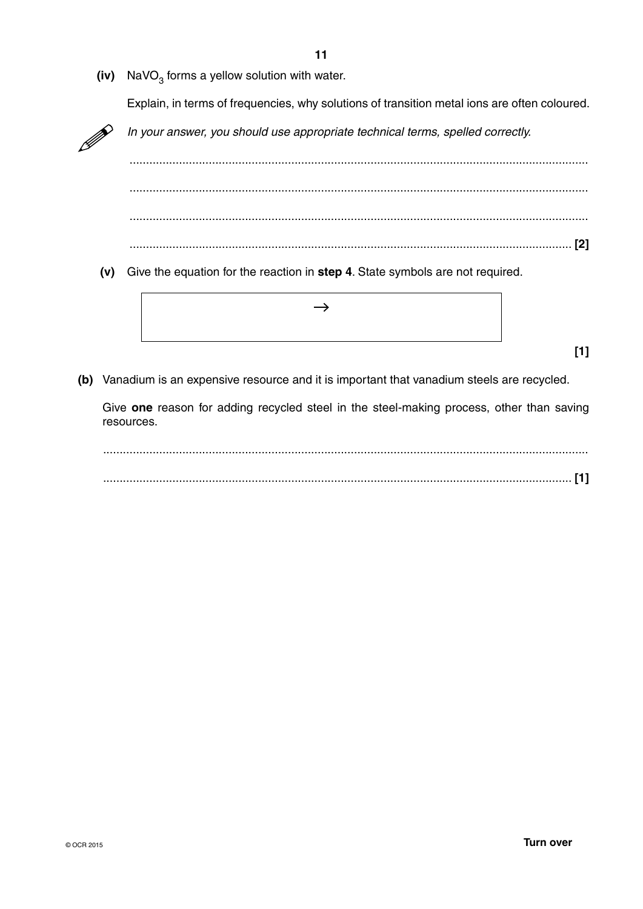$(iv)$  NaVO<sub>3</sub> forms a yellow solution with water.

Explain, in terms of frequencies, why solutions of transition metal ions are often coloured.

*In your answer, you should use appropriate technical terms, spelled correctly.* ........................................................................................................................................... ........................................................................................................................................... ........................................................................................................................................... ...................................................................................................................................... **[2] (v)** Give the equation for the reaction in **step 4**. State symbols are not required.



 **(b)** Vanadium is an expensive resource and it is important that vanadium steels are recycled.

Give **one** reason for adding recycled steel in the steel-making process, other than saving resources.

 ................................................................................................................................................... .............................................................................................................................................. **[1]**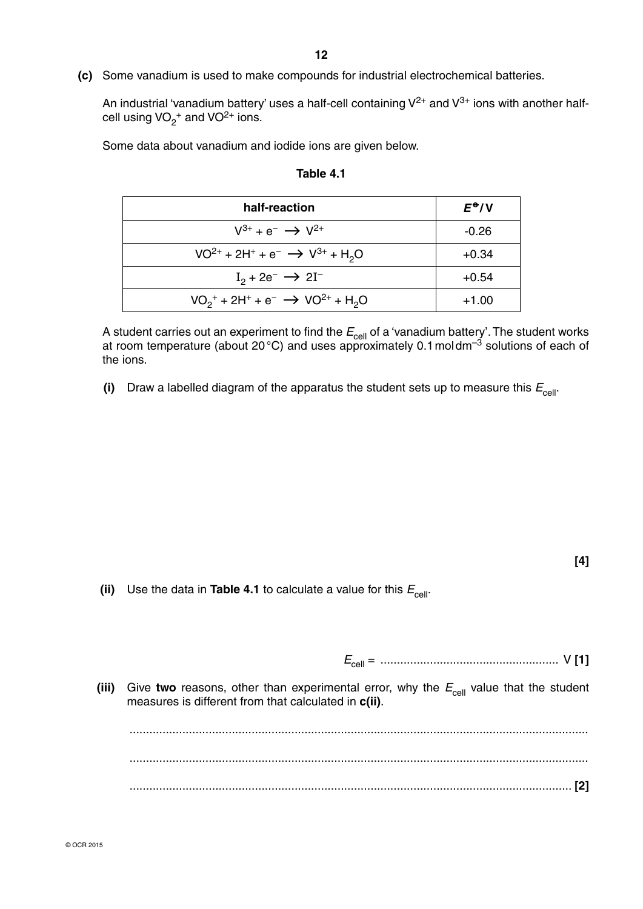- **12**
- **(c)** Some vanadium is used to make compounds for industrial electrochemical batteries.

An industrial 'vanadium battery' uses a half-cell containing  $V^{2+}$  and  $V^{3+}$  ions with another halfcell using  $VO_2^+$  and  $VO^{2+}$  ions.

Some data about vanadium and iodide ions are given below.

| half-reaction                                        | $E^{\bullet}/V$ |
|------------------------------------------------------|-----------------|
| $V^{3+} + e^- \rightarrow V^{2+}$                    | $-0.26$         |
| $VO^{2+} + 2H^{+} + e^{-} \rightarrow V^{3+} + H_2O$ | $+0.34$         |
| $I_2 + 2e^- \rightarrow 2I^-$                        | $+0.54$         |
| $VO_2^+ + 2H^+ + e^- \rightarrow VO^{2+} + H_2O$     | $+1.00$         |

| Table | 4.1 |
|-------|-----|
|-------|-----|

A student carries out an experiment to find the  $E_{\text{cell}}$  of a 'vanadium battery'. The student works at room temperature (about 20 °C) and uses approximately 0.1 moldm<sup>-3</sup> solutions of each of the ions.

**(i)** Draw a labelled diagram of the apparatus the student sets up to measure this  $E_{cell}$ .

**[4]**

**(ii)** Use the data in **Table 4.1** to calculate a value for this  $E_{cell}$ .

*E*cell = ...................................................... V **[1]**

**(iii)** Give two reasons, other than experimental error, why the  $E_{cell}$  value that the student measures is different from that calculated in **c(ii)**.

 ........................................................................................................................................... ........................................................................................................................................... ...................................................................................................................................... **[2]**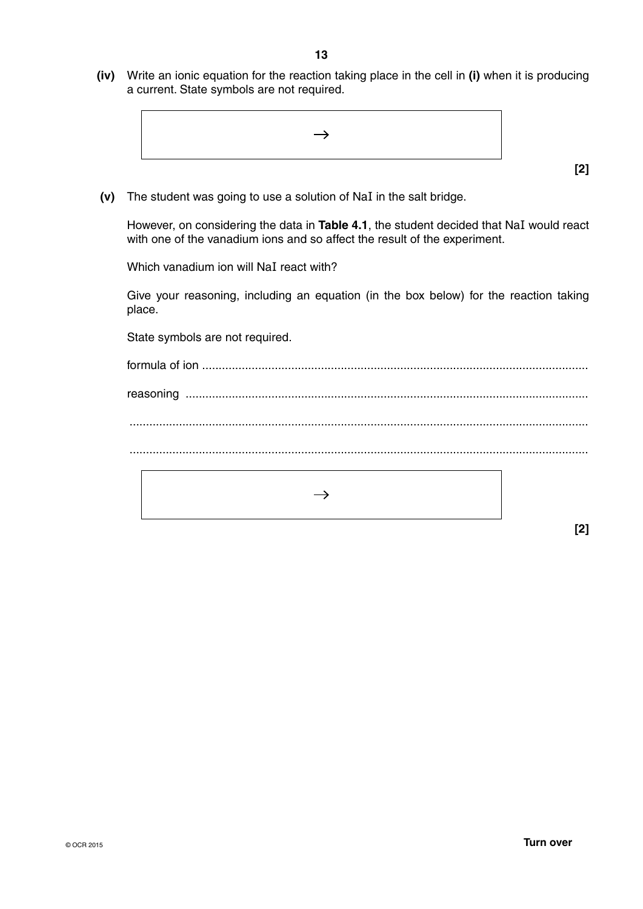**(iv)** Write an ionic equation for the reaction taking place in the cell in **(i)** when it is producing a current. State symbols are not required.



 **(v)** The student was going to use a solution of NaI in the salt bridge.

However, on considering the data in **Table 4.1**, the student decided that NaI would react with one of the vanadium ions and so affect the result of the experiment.

Which vanadium ion will NaI react with?

Give your reasoning, including an equation (in the box below) for the reaction taking place.

State symbols are not required.

formula of ion ..................................................................................................................... reasoning .......................................................................................................................... ........................................................................................................................................... ...........................................................................................................................................

 $\rightarrow$ 

**[2]**

**[2]**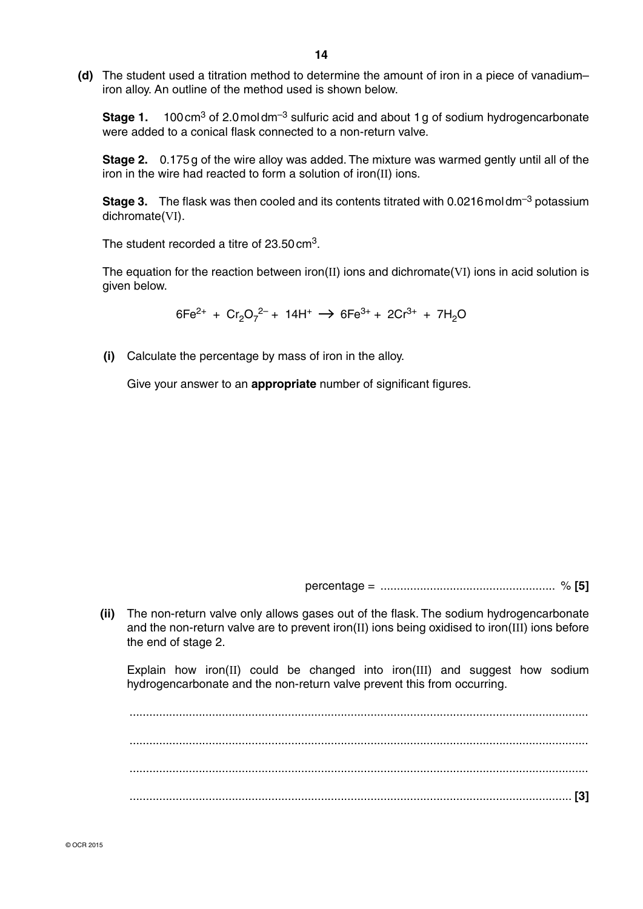**(d)** The student used a titration method to determine the amount of iron in a piece of vanadium– iron alloy. An outline of the method used is shown below.

**Stage 1.** 100 cm<sup>3</sup> of 2.0 moldm<sup>-3</sup> sulfuric acid and about 1 g of sodium hydrogencarbonate were added to a conical flask connected to a non-return valve.

**Stage 2.** 0.175 g of the wire alloy was added. The mixture was warmed gently until all of the iron in the wire had reacted to form a solution of iron(II) ions.

**Stage 3.** The flask was then cooled and its contents titrated with 0.0216 moldm<sup>-3</sup> potassium dichromate(VI).

The student recorded a titre of 23.50 cm3.

The equation for the reaction between iron(II) ions and dichromate(VI) ions in acid solution is given below.

 $6Fe^{2+} + Cr_2O_7^{2-} + 14H^+ \rightarrow 6Fe^{3+} + 2Cr^{3+} + 7H_2O$ 

 **(i)** Calculate the percentage by mass of iron in the alloy.

Give your answer to an **appropriate** number of significant figures.

percentage = ..................................................... % **[5]**

 **(ii)** The non-return valve only allows gases out of the flask. The sodium hydrogencarbonate and the non-return valve are to prevent iron(II) ions being oxidised to iron(III) ions before the end of stage 2.

Explain how iron(II) could be changed into iron(III) and suggest how sodium hydrogencarbonate and the non-return valve prevent this from occurring.

 ........................................................................................................................................... ........................................................................................................................................... ........................................................................................................................................... ...................................................................................................................................... **[3]**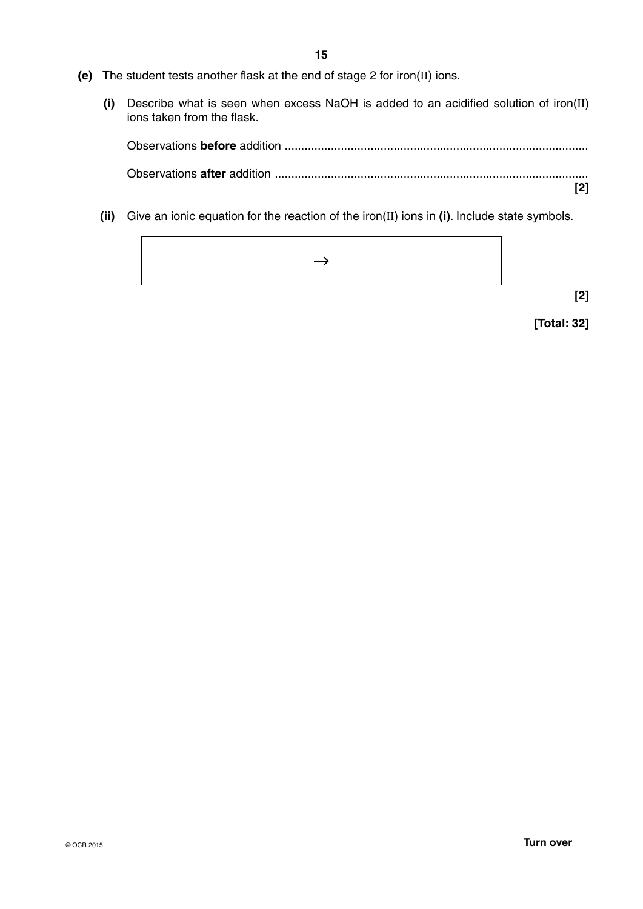- **(e)** The student tests another flask at the end of stage 2 for iron(II) ions.
	- **(i)** Describe what is seen when excess NaOH is added to an acidified solution of iron(II) ions taken from the flask.

Observations **before** addition ............................................................................................

Observations **after** addition ............................................................................................... **[2]**

 **(ii)** Give an ionic equation for the reaction of the iron(II) ions in **(i)**. Include state symbols.



**[2]**

**[Total: 32]**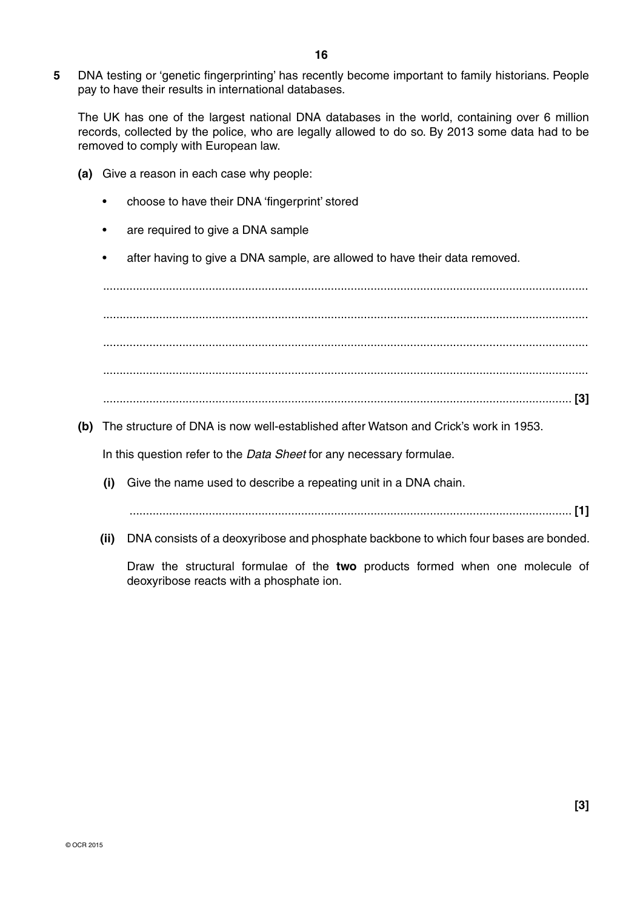**5** DNA testing or 'genetic fingerprinting' has recently become important to family historians. People pay to have their results in international databases.

The UK has one of the largest national DNA databases in the world, containing over 6 million records, collected by the police, who are legally allowed to do so. By 2013 some data had to be removed to comply with European law.

- **(a)** Give a reason in each case why people:
	- choose to have their DNA 'fingerprint' stored
	- are required to give a DNA sample
	- after having to give a DNA sample, are allowed to have their data removed.

 ................................................................................................................................................... ................................................................................................................................................... ................................................................................................................................................... ................................................................................................................................................... .............................................................................................................................................. **[3]**

 **(b)** The structure of DNA is now well-established after Watson and Crick's work in 1953.

In this question refer to the *Data Sheet* for any necessary formulae.

- **(i)** Give the name used to describe a repeating unit in a DNA chain.
	- ...................................................................................................................................... **[1]**
- **(ii)** DNA consists of a deoxyribose and phosphate backbone to which four bases are bonded.

Draw the structural formulae of the **two** products formed when one molecule of deoxyribose reacts with a phosphate ion.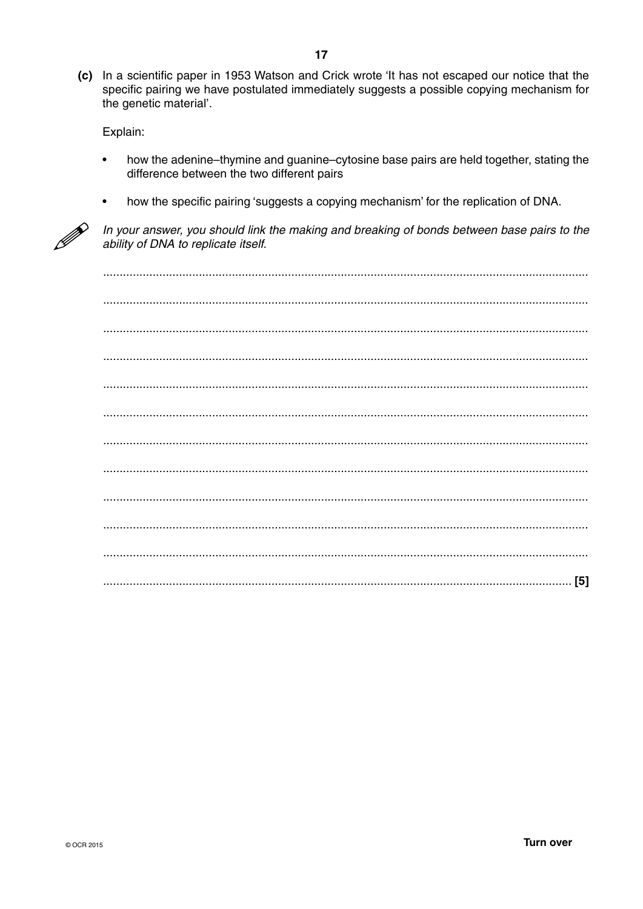(c) In a scientific paper in 1953 Watson and Crick wrote 'It has not escaped our notice that the specific pairing we have postulated immediately suggests a possible copying mechanism for the genetic material'.

Explain:

- how the adenine-thymine and quanine-cytosine base pairs are held together, stating the difference between the two different pairs
- how the specific pairing 'suggests a copying mechanism' for the replication of DNA.  $\bullet$



In your answer, you should link the making and breaking of bonds between base pairs to the ability of DNA to replicate itself.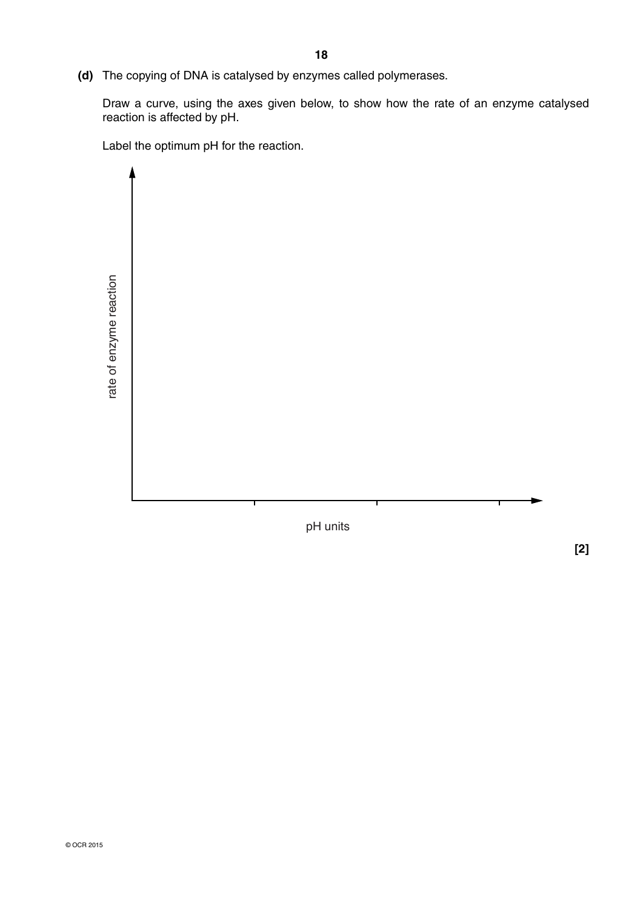**(d)** The copying of DNA is catalysed by enzymes called polymerases.

Draw a curve, using the axes given below, to show how the rate of an enzyme catalysed reaction is affected by pH.

Label the optimum pH for the reaction.

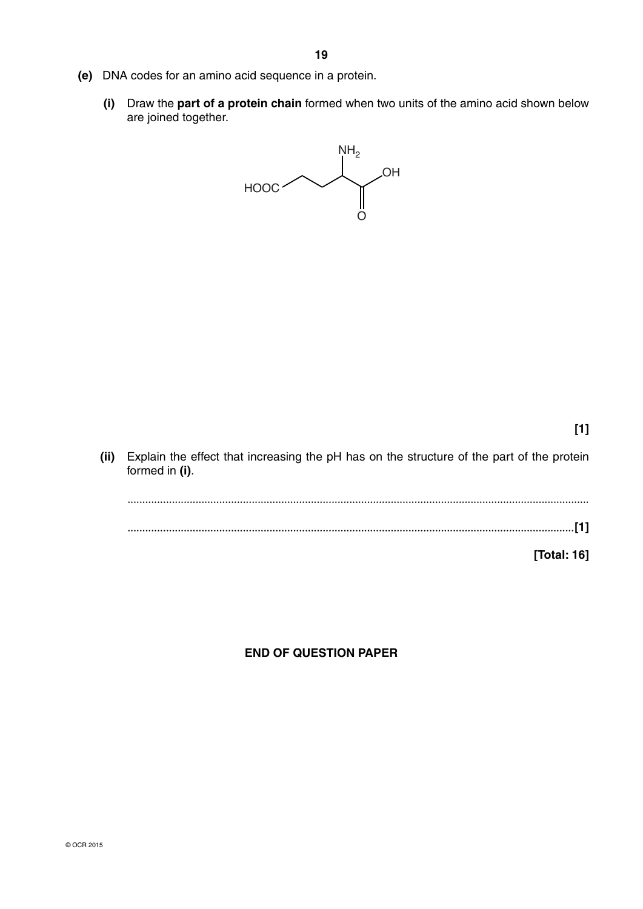- **(e)** DNA codes for an amino acid sequence in a protein.
	- **(i)** Draw the **part of a protein chain** formed when two units of the amino acid shown below are joined together.



### **[1]**

 **(ii)** Explain the effect that increasing the pH has on the structure of the part of the protein formed in **(i)**.

............................................................................................................................................................ .......................................................................................................................................................**[1]**

### **[Total: 16]**

### **END OF QUESTION PAPER**